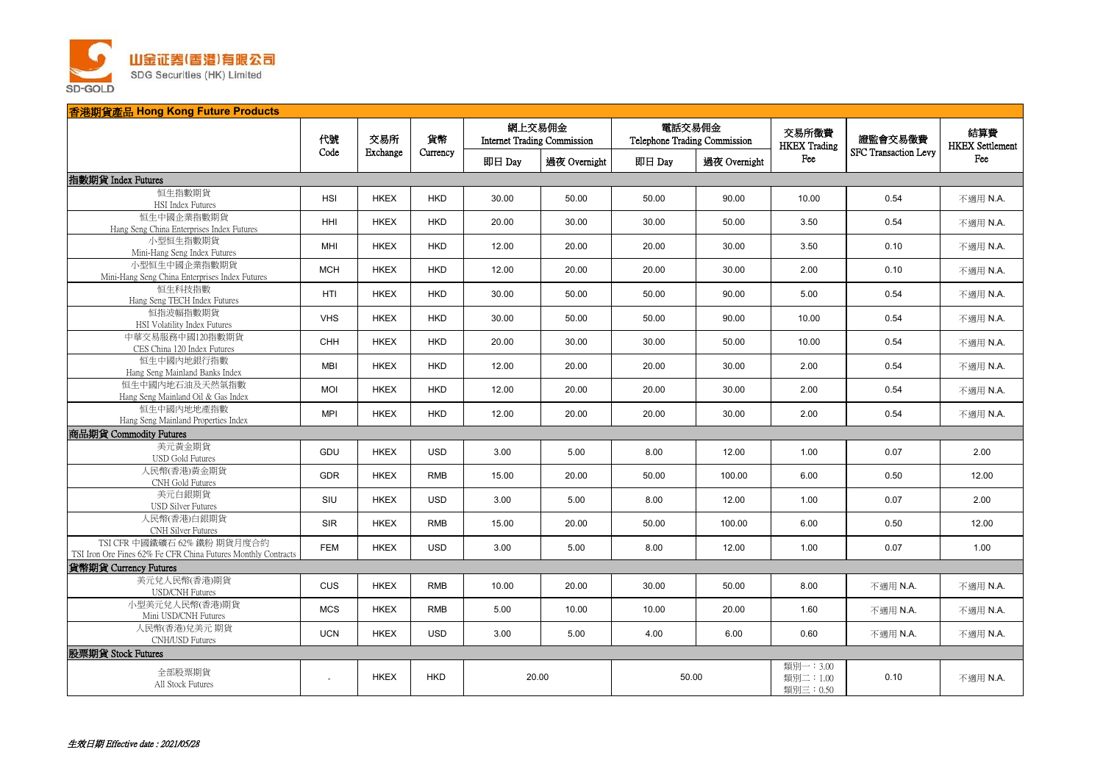

| 香港期貨產品 Hong Kong Future Products                                                             |                |                 |                |                                              |              |                                        |              |                                     |                             |                               |  |
|----------------------------------------------------------------------------------------------|----------------|-----------------|----------------|----------------------------------------------|--------------|----------------------------------------|--------------|-------------------------------------|-----------------------------|-------------------------------|--|
|                                                                                              | 代號<br>Code     | 交易所<br>Exchange | 貨幣<br>Currency | 網上交易佣金<br><b>Internet Trading Commission</b> |              | 電話交易佣金<br>Telephone Trading Commission |              | 交易所徵費<br><b>HKEX</b> Trading        | 證監會交易徵費                     | 結算費<br><b>HKEX</b> Settlement |  |
|                                                                                              |                |                 |                | 即日 Day                                       | 過夜 Overnight | 即日 Day                                 | 過夜 Overnight | Fee                                 | <b>SFC Transaction Levy</b> | Fee                           |  |
| 指數期貨 Index Futures                                                                           |                |                 |                |                                              |              |                                        |              |                                     |                             |                               |  |
| 恒生指數期貨<br>HSI Index Futures                                                                  | <b>HSI</b>     | <b>HKEX</b>     | <b>HKD</b>     | 30.00                                        | 50.00        | 50.00                                  | 90.00        | 10.00                               | 0.54                        | 不適用 N.A.                      |  |
| 恒生中國企業指數期貨<br>Hang Seng China Enterprises Index Futures                                      | HHI            | <b>HKEX</b>     | <b>HKD</b>     | 20.00                                        | 30.00        | 30.00                                  | 50.00        | 3.50                                | 0.54                        | 不適用 N.A.                      |  |
| 小型恒生指數期貨<br>Mini-Hang Seng Index Futures                                                     | MHI            | <b>HKEX</b>     | <b>HKD</b>     | 12.00                                        | 20.00        | 20.00                                  | 30.00        | 3.50                                | 0.10                        | 不適用 N.A.                      |  |
| 小型恒生中國企業指數期貨<br>Mini-Hang Seng China Enterprises Index Futures                               | <b>MCH</b>     | <b>HKEX</b>     | <b>HKD</b>     | 12.00                                        | 20.00        | 20.00                                  | 30.00        | 2.00                                | 0.10                        | 不適用 N.A.                      |  |
| 恒生科技指數<br>Hang Seng TECH Index Futures                                                       | HTI            | <b>HKEX</b>     | <b>HKD</b>     | 30.00                                        | 50.00        | 50.00                                  | 90.00        | 5.00                                | 0.54                        | 不適用 N.A.                      |  |
| 恒指波幅指數期貨<br>HSI Volatility Index Futures                                                     | <b>VHS</b>     | <b>HKEX</b>     | <b>HKD</b>     | 30.00                                        | 50.00        | 50.00                                  | 90.00        | 10.00                               | 0.54                        | 不適用 N.A.                      |  |
| 中華交易服務中國120指數期貨<br>CES China 120 Index Futures                                               | CHH            | <b>HKEX</b>     | <b>HKD</b>     | 20.00                                        | 30.00        | 30.00                                  | 50.00        | 10.00                               | 0.54                        | 不適用 N.A.                      |  |
| 恒生中國內地銀行指數<br>Hang Seng Mainland Banks Index                                                 | MBI            | <b>HKEX</b>     | <b>HKD</b>     | 12.00                                        | 20.00        | 20.00                                  | 30.00        | 2.00                                | 0.54                        | 不適用 N.A.                      |  |
| 恒生中國內地石油及天然氣指數<br>Hang Seng Mainland Oil & Gas Index                                         | <b>MOI</b>     | <b>HKEX</b>     | <b>HKD</b>     | 12.00                                        | 20.00        | 20.00                                  | 30.00        | 2.00                                | 0.54                        | 不適用 N.A.                      |  |
| 恒生中國內地地產指數<br>Hang Seng Mainland Properties Index                                            | <b>MPI</b>     | <b>HKEX</b>     | <b>HKD</b>     | 12.00                                        | 20.00        | 20.00                                  | 30.00        | 2.00                                | 0.54                        | 不適用 N.A.                      |  |
| 商品期貨 Commodity Futures                                                                       |                |                 |                |                                              |              |                                        |              |                                     |                             |                               |  |
| 美元黄金期貨<br><b>USD Gold Futures</b>                                                            | <b>GDU</b>     | <b>HKEX</b>     | <b>USD</b>     | 3.00                                         | 5.00         | 8.00                                   | 12.00        | 1.00                                | 0.07                        | 2.00                          |  |
| 人民幣(香港)黃金期貨<br>CNH Gold Futures                                                              | <b>GDR</b>     | <b>HKEX</b>     | <b>RMB</b>     | 15.00                                        | 20.00        | 50.00                                  | 100.00       | 6.00                                | 0.50                        | 12.00                         |  |
| 美元白銀期貨<br><b>USD Silver Futures</b>                                                          | SIU            | <b>HKEX</b>     | <b>USD</b>     | 3.00                                         | 5.00         | 8.00                                   | 12.00        | 1.00                                | 0.07                        | 2.00                          |  |
| 人民幣(香港)白銀期貨<br>CNH Silver Futures                                                            | SIR            | <b>HKEX</b>     | <b>RMB</b>     | 15.00                                        | 20.00        | 50.00                                  | 100.00       | 6.00                                | 0.50                        | 12.00                         |  |
| TSI CFR 中國鐵礦石 62% 鐵粉 期貨月度合約<br>TSI Iron Ore Fines 62% Fe CFR China Futures Monthly Contracts | <b>FEM</b>     | <b>HKEX</b>     | <b>USD</b>     | 3.00                                         | 5.00         | 8.00                                   | 12.00        | 1.00                                | 0.07                        | 1.00                          |  |
| 貨幣期貨 Currency Futures                                                                        |                |                 |                |                                              |              |                                        |              |                                     |                             |                               |  |
| 美元兑人民幣(香港)期貨<br><b>USD/CNH Futures</b>                                                       | CUS            | <b>HKEX</b>     | <b>RMB</b>     | 10.00                                        | 20.00        | 30.00                                  | 50.00        | 8.00                                | 不適用 N.A.                    | 不適用 N.A.                      |  |
| 小型美元兌人民幣(香港)期貨<br>Mini USD/CNH Futures                                                       | <b>MCS</b>     | <b>HKEX</b>     | <b>RMB</b>     | 5.00                                         | 10.00        | 10.00                                  | 20.00        | 1.60                                | 不適用 N.A.                    | 不適用 N.A.                      |  |
| 人民幣(香港)兌美元期貨<br>CNH/USD Futures                                                              | <b>UCN</b>     | <b>HKEX</b>     | <b>USD</b>     | 3.00                                         | 5.00         | 4.00                                   | 6.00         | 0.60                                | 不適用 N.A.                    | 不適用 N.A.                      |  |
| 股票期貨 Stock Futures                                                                           |                |                 |                |                                              |              |                                        |              |                                     |                             |                               |  |
| 全部股票期貨<br>All Stock Futures                                                                  | $\blacksquare$ | <b>HKEX</b>     | <b>HKD</b>     | 20.00                                        |              | 50.00                                  |              | 類別一: 3.00<br>類別二: 1.00<br>類別三: 0.50 | 0.10                        | 不適用 N.A.                      |  |